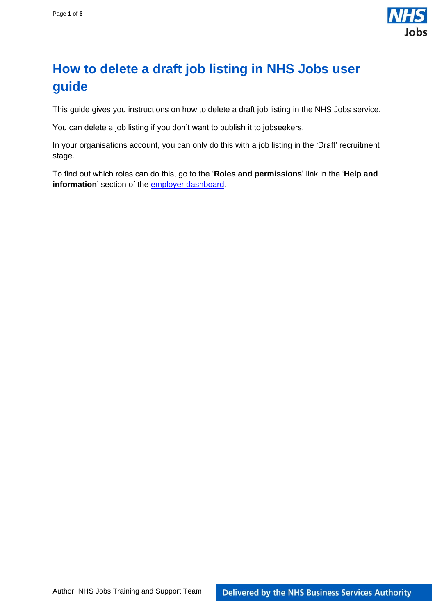

## <span id="page-0-0"></span>**How to delete a draft job listing in NHS Jobs user guide**

This guide gives you instructions on how to delete a draft job listing in the NHS Jobs service.

You can delete a job listing if you don't want to publish it to jobseekers.

In your organisations account, you can only do this with a job listing in the 'Draft' recruitment stage.

To find out which roles can do this, go to the '**Roles and permissions**' link in the '**Help and information**' section of the **employer dashboard**.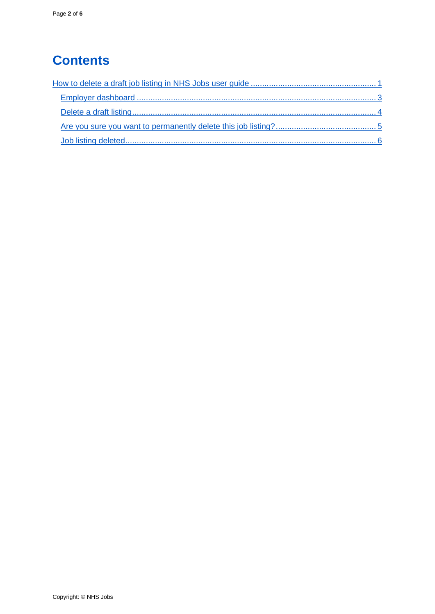# **Contents**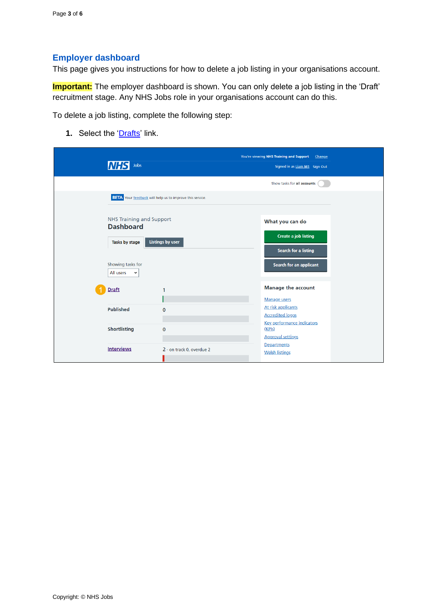### <span id="page-2-0"></span>**Employer dashboard**

This page gives you instructions for how to delete a job listing in your organisations account.

**Important:** The employer dashboard is shown. You can only delete a job listing in the 'Draft' recruitment stage. Any NHS Jobs role in your organisations account can do this.

To delete a job listing, complete the following step:

**1.** Select the '*Drafts'* link.

| Jobs<br><b>NHS</b>                                                    |                           | You're viewing NHS Training and Support<br>Change<br>Signed in as Liam M1 Sign Out<br>Show tasks for all accounts |
|-----------------------------------------------------------------------|---------------------------|-------------------------------------------------------------------------------------------------------------------|
| <b>BETA</b> Your feedback will help us to improve this service.       |                           |                                                                                                                   |
| <b>NHS Training and Support</b><br><b>Dashboard</b><br>Tasks by stage | Listings by user          | What you can do<br><b>Create a job listing</b><br>Search for a listing                                            |
| Showing tasks for<br>All users<br>$\checkmark$                        |                           | Search for an applicant                                                                                           |
| <b>Draft</b>                                                          | 1                         | <b>Manage the account</b><br><b>Manage users</b>                                                                  |
| <b>Published</b>                                                      | $\mathbf 0$               | At risk applicants<br><b>Accredited logos</b><br><b>Key performance indicators</b>                                |
| <b>Shortlisting</b>                                                   | $\mathbf 0$               | (KPIs)<br><b>Approval settings</b>                                                                                |
| <b>Interviews</b>                                                     | 2 - on track 0, overdue 2 | Departments<br><b>Welsh listings</b>                                                                              |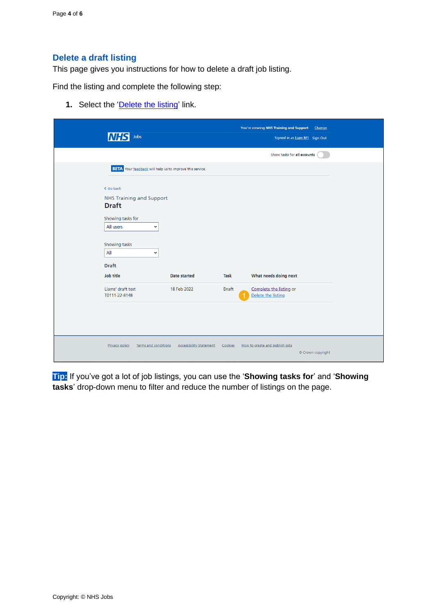### <span id="page-3-0"></span>**Delete a draft listing**

This page gives you instructions for how to delete a draft job listing.

Find the listing and complete the following step:

1. Select the ['Delete the listing'](#page-4-0) link.

| Jobs                                                                                                                                                                                                                           |                                |                      | You're viewing NHS Training and Support<br>Signed in as Liam M1 Sign Out | Change            |
|--------------------------------------------------------------------------------------------------------------------------------------------------------------------------------------------------------------------------------|--------------------------------|----------------------|--------------------------------------------------------------------------|-------------------|
|                                                                                                                                                                                                                                |                                |                      | Show tasks for all accounts                                              |                   |
| <b>BETA</b> Your feedback will help us to improve this service.                                                                                                                                                                |                                |                      |                                                                          |                   |
| < Go back<br><b>NHS Training and Support</b><br><b>Draft</b><br>Showing tasks for<br>All users<br>$\check{ }$<br>Showing tasks<br>All<br>$\check{ }$<br><b>Draft</b><br><b>Job title</b><br>Liams' draft test<br>T0111-22-8148 | Date started<br>18 Feb 2022    | Task<br><b>Draft</b> | What needs doing next<br>Complete the listing or<br>Delete the listing   |                   |
| <b>Privacy policy</b><br><b>Terms and conditions</b>                                                                                                                                                                           | <b>Accessibility Statement</b> | Cookies              | How to create and publish jobs                                           | © Crown copyright |

**Tip:** If you've got a lot of job listings, you can use the '**Showing tasks for**' and '**Showing tasks**' drop-down menu to filter and reduce the number of listings on the page.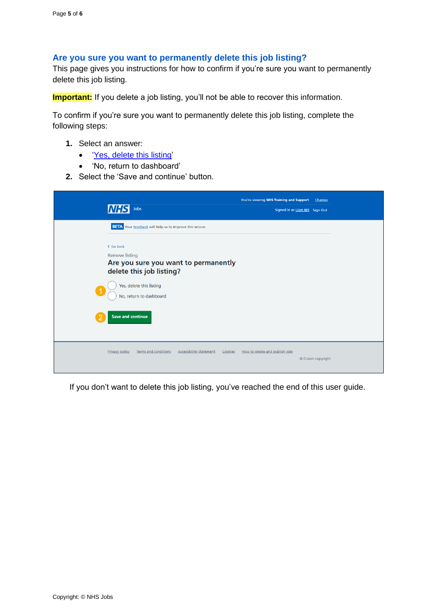#### <span id="page-4-0"></span>**Are you sure you want to permanently delete this job listing?**

This page gives you instructions for how to confirm if you're sure you want to permanently delete this job listing.

**Important:** If you delete a job listing, you'll not be able to recover this information.

To confirm if you're sure you want to permanently delete this job listing, complete the following steps:

- **1.** Select an answer:
	- ['Yes, delete this listing'](#page-5-0)
	- 'No, return to dashboard'
- **2.** Select the 'Save and continue' button.

| <b>INH</b><br>Jobs                                                                                                            | You're viewing NHS Training and Support<br>Signed in as Liam M1 Sign Out | Change            |
|-------------------------------------------------------------------------------------------------------------------------------|--------------------------------------------------------------------------|-------------------|
| <b>BETA</b> Your feedback will help us to improve this service.<br>< Go back<br><b>Remove listing</b>                         |                                                                          |                   |
| Are you sure you want to permanently<br>delete this job listing?<br>Yes, delete this listing<br>-1<br>No, return to dashboard |                                                                          |                   |
| <b>Save and continue</b><br>о                                                                                                 |                                                                          |                   |
| <b>Privacy policy</b><br><b>Terms and conditions</b><br><b>Accessibility Statement</b><br>Cookies                             | How to create and publish jobs                                           | © Crown copyright |

If you don't want to delete this job listing, you've reached the end of this user guide.